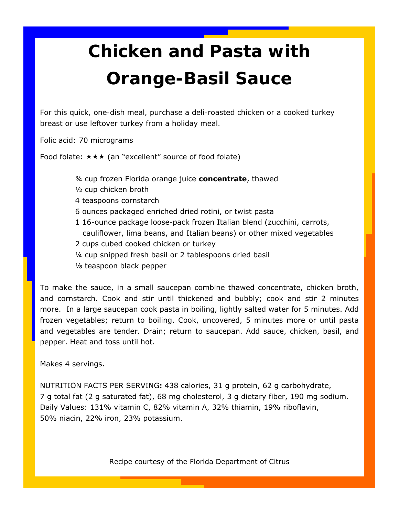# **Chicken and Pasta with**

## **Orange-Basil Sauce**

*For this quick, one-dish meal, purchase a deli-roasted chicken or a cooked turkey breast or use leftover turkey from a holiday meal.* 

Folic acid: 70 micrograms

Food folate:  $\star \star \star$  (an "excellent" source of food folate)

¾ cup frozen Florida orange juice **concentrate**, thawed

- ½ cup chicken broth
- 4 teaspoons cornstarch
- 6 ounces packaged enriched dried rotini, or twist pasta
- 1 16-ounce package loose-pack frozen Italian blend (zucchini, carrots, cauliflower, lima beans, and Italian beans) or other mixed vegetables
- 2 cups cubed cooked chicken or turkey
- ¼ cup snipped fresh basil or 2 tablespoons dried basil
- ⅛ teaspoon black pepper

To make the sauce, in a small saucepan combine thawed concentrate, chicken broth, and cornstarch. Cook and stir until thickened and bubbly; cook and stir 2 minutes more. In a large saucepan cook pasta in boiling, lightly salted water for 5 minutes. Add frozen vegetables; return to boiling. Cook, uncovered, 5 minutes more or until pasta and vegetables are tender. Drain; return to saucepan. Add sauce, chicken, basil, and pepper. Heat and toss until hot.

Makes 4 servings.

NUTRITION FACTS PER SERVING**:** 438 calories, 31 g protein, 62 g carbohydrate, 7 g total fat (2 g saturated fat), 68 mg cholesterol, 3 g dietary fiber, 190 mg sodium. Daily Values: 131% vitamin C, 82% vitamin A, 32% thiamin, 19% riboflavin, 50% niacin, 22% iron, 23% potassium.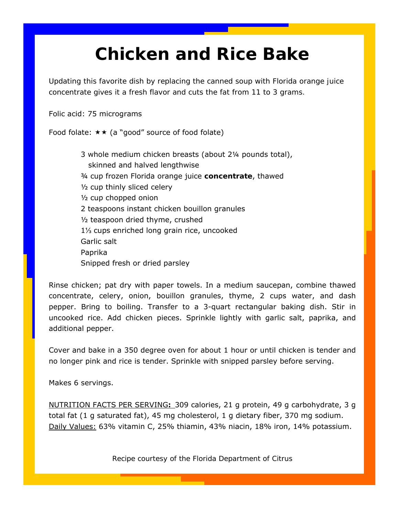## **Chicken and Rice Bake**

*Updating this favorite dish by replacing the canned soup with Florida orange juice concentrate gives it a fresh flavor and cuts the fat from 11 to 3 grams.*

Folic acid: 75 micrograms

Food folate:  $\star \star$  (a "good" source of food folate)

3 whole medium chicken breasts (about 2¼ pounds total), skinned and halved lengthwise ¾ cup frozen Florida orange juice **concentrate**, thawed ½ cup thinly sliced celery ½ cup chopped onion 2 teaspoons instant chicken bouillon granules ½ teaspoon dried thyme, crushed 1⅓ cups enriched long grain rice, uncooked Garlic salt Paprika Snipped fresh or dried parsley

Rinse chicken; pat dry with paper towels. In a medium saucepan, combine thawed concentrate, celery, onion, bouillon granules, thyme, 2 cups water, and dash pepper. Bring to boiling. Transfer to a 3-quart rectangular baking dish. Stir in uncooked rice. Add chicken pieces. Sprinkle lightly with garlic salt, paprika, and additional pepper.

Cover and bake in a 350 degree oven for about 1 hour or until chicken is tender and no longer pink and rice is tender. Sprinkle with snipped parsley before serving.

Makes 6 servings.

NUTRITION FACTS PER SERVING**:** 309 calories, 21 g protein, 49 g carbohydrate, 3 g total fat (1 g saturated fat), 45 mg cholesterol, 1 g dietary fiber, 370 mg sodium. Daily Values: 63% vitamin C, 25% thiamin, 43% niacin, 18% iron, 14% potassium.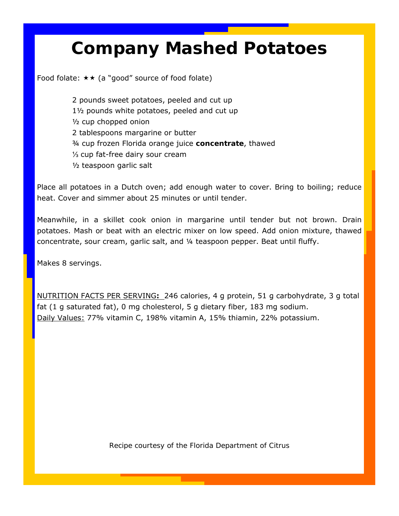## **Company Mashed Potatoes**

Food folate:  $\star \star$  (a "good" source of food folate)

2 pounds sweet potatoes, peeled and cut up 1½ pounds white potatoes, peeled and cut up ½ cup chopped onion 2 tablespoons margarine or butter ¾ cup frozen Florida orange juice **concentrate**, thawed ⅓ cup fat-free dairy sour cream ½ teaspoon garlic salt

Place all potatoes in a Dutch oven; add enough water to cover. Bring to boiling; reduce heat. Cover and simmer about 25 minutes or until tender.

Meanwhile, in a skillet cook onion in margarine until tender but not brown. Drain potatoes. Mash or beat with an electric mixer on low speed. Add onion mixture, thawed concentrate, sour cream, garlic salt, and ¼ teaspoon pepper. Beat until fluffy.

Makes 8 servings.

NUTRITION FACTS PER SERVING**:** 246 calories, 4 g protein, 51 g carbohydrate, 3 g total fat (1 g saturated fat), 0 mg cholesterol, 5 g dietary fiber, 183 mg sodium. Daily Values: 77% vitamin C, 198% vitamin A, 15% thiamin, 22% potassium.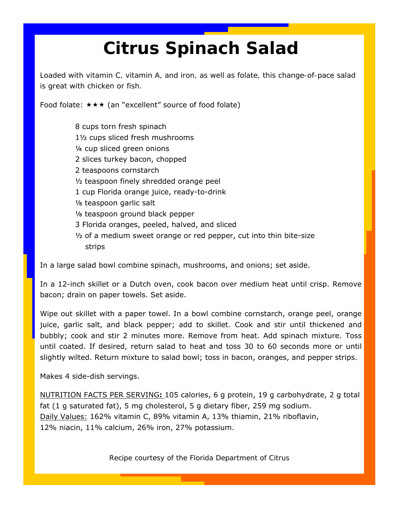## **Citrus Spinach Salad**

*Loaded with vitamin C, vitamin A, and iron, as well as folate, this change-of-pace salad is great with chicken or fish.*

Food folate:  $\star \star \star$  (an "excellent" source of food folate)

8 cups torn fresh spinach 1½ cups sliced fresh mushrooms ¼ cup sliced green onions 2 slices turkey bacon, chopped 2 teaspoons cornstarch ½ teaspoon finely shredded orange peel 1 cup Florida orange juice, ready-to-drink ⅛ teaspoon garlic salt ⅛ teaspoon ground black pepper 3 Florida oranges, peeled, halved, and sliced  $\frac{1}{2}$  of a medium sweet orange or red pepper, cut into thin bite-size strips

In a large salad bowl combine spinach, mushrooms, and onions; set aside.

In a 12-inch skillet or a Dutch oven, cook bacon over medium heat until crisp. Remove bacon; drain on paper towels. Set aside.

Wipe out skillet with a paper towel. In a bowl combine cornstarch, orange peel, orange juice, garlic salt, and black pepper; add to skillet. Cook and stir until thickened and bubbly; cook and stir 2 minutes more. Remove from heat. Add spinach mixture. Toss until coated. If desired, return salad to heat and toss 30 to 60 seconds more or until slightly wilted. Return mixture to salad bowl; toss in bacon, oranges, and pepper strips.

Makes 4 side-dish servings.

NUTRITION FACTS PER SERVING**:** 105 calories, 6 g protein, 19 g carbohydrate, 2 g total fat (1 g saturated fat), 5 mg cholesterol, 5 g dietary fiber, 259 mg sodium. Daily Values: 162% vitamin C, 89% vitamin A, 13% thiamin, 21% riboflavin, 12% niacin, 11% calcium, 26% iron, 27% potassium.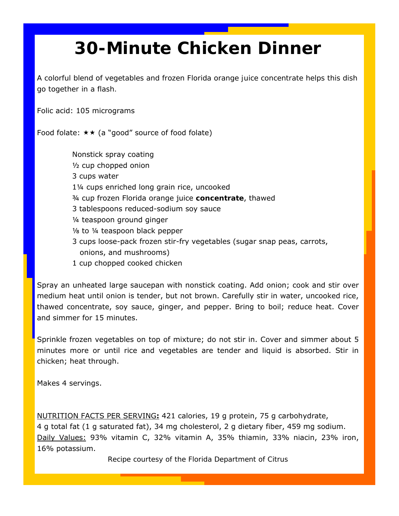## **30-Minute Chicken Dinner**

*A colorful blend of vegetables and frozen Florida orange juice concentrate helps this dish go together in a flash.*

Folic acid: 105 micrograms

Food folate:  $\star \star$  (a "good" source of food folate)

Nonstick spray coating ½ cup chopped onion 3 cups water 1¼ cups enriched long grain rice, uncooked ¾ cup frozen Florida orange juice **concentrate**, thawed 3 tablespoons reduced-sodium soy sauce ¼ teaspoon ground ginger ⅛ to ¼ teaspoon black pepper 3 cups loose-pack frozen stir-fry vegetables (sugar snap peas, carrots, onions, and mushrooms) 1 cup chopped cooked chicken

Spray an unheated large saucepan with nonstick coating. Add onion; cook and stir over medium heat until onion is tender, but not brown. Carefully stir in water, uncooked rice, thawed concentrate, soy sauce, ginger, and pepper. Bring to boil; reduce heat. Cover and simmer for 15 minutes.

Sprinkle frozen vegetables on top of mixture; do not stir in. Cover and simmer about 5 minutes more or until rice and vegetables are tender and liquid is absorbed. Stir in chicken; heat through.

Makes 4 servings.

NUTRITION FACTS PER SERVING**:** 421 calories, 19 g protein, 75 g carbohydrate, 4 g total fat (1 g saturated fat), 34 mg cholesterol, 2 g dietary fiber, 459 mg sodium. Daily Values: 93% vitamin C, 32% vitamin A, 35% thiamin, 33% niacin, 23% iron, 16% potassium.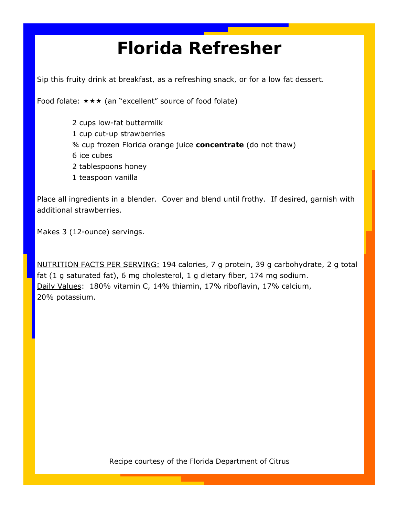## **Florida Refresher**

*Sip this fruity drink at breakfast, as a refreshing snack, or for a low fat dessert.*

Food folate:  $\star \star \star$  (an "excellent" source of food folate)

2 cups low-fat buttermilk 1 cup cut-up strawberries ¾ cup frozen Florida orange juice **concentrate** (do not thaw) 6 ice cubes 2 tablespoons honey 1 teaspoon vanilla

Place all ingredients in a blender. Cover and blend until frothy. If desired, garnish with additional strawberries.

Makes 3 (12-ounce) servings.

NUTRITION FACTS PER SERVING: 194 calories, 7 g protein, 39 g carbohydrate, 2 g total fat (1 g saturated fat), 6 mg cholesterol, 1 g dietary fiber, 174 mg sodium. Daily Values: 180% vitamin C, 14% thiamin, 17% riboflavin, 17% calcium, 20% potassium.